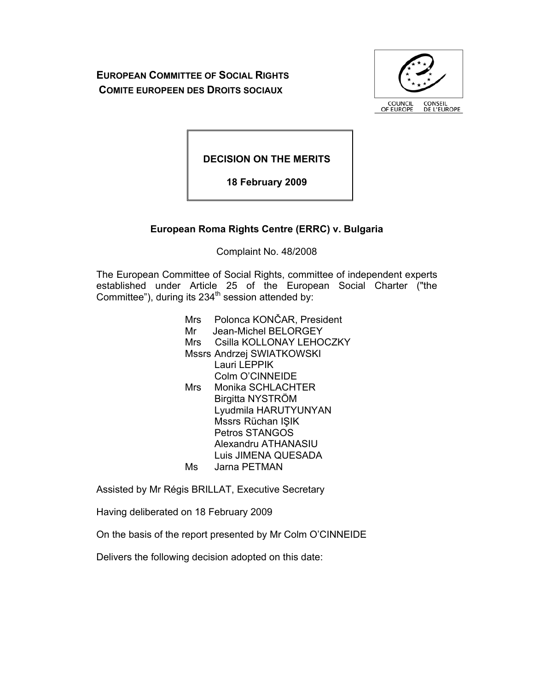**EUROPEAN COMMITTEE OF SOCIAL RIGHTS COMITE EUROPEEN DES DROITS SOCIAUX**



**DECISION ON THE MERITS** 

**18 February 2009** 

# **European Roma Rights Centre (ERRC) v. Bulgaria**

Complaint No. 48/2008

The European Committee of Social Rights, committee of independent experts established under Article 25 of the European Social Charter ("the Committee"), during its  $234<sup>th</sup>$  session attended by:

> Mrs Polonca KONČAR, President Mr Jean-Michel BELORGEY Mrs Csilla KOLLONAY LEHOCZKY Mssrs Andrzej SWIATKOWSKI Lauri LEPPIK Colm O'CINNEIDE Mrs Monika SCHLACHTER Birgitta NYSTRÖM Lyudmila HARUTYUNYAN Mssrs Rüchan IŞIK Petros STANGOS Alexandru ATHANASIU Luis JIMENA QUESADA Ms Jarna PETMAN

Assisted by Mr Régis BRILLAT, Executive Secretary

Having deliberated on 18 February 2009

On the basis of the report presented by Mr Colm O'CINNEIDE

Delivers the following decision adopted on this date: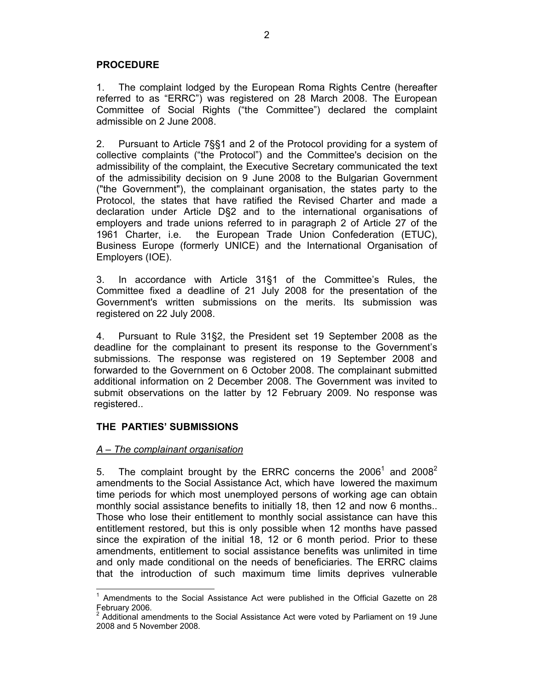### **PROCEDURE**

1. The complaint lodged by the European Roma Rights Centre (hereafter referred to as "ERRC") was registered on 28 March 2008. The European Committee of Social Rights ("the Committee") declared the complaint admissible on 2 June 2008.

2. Pursuant to Article 7§§1 and 2 of the Protocol providing for a system of collective complaints ("the Protocol") and the Committee's decision on the admissibility of the complaint, the Executive Secretary communicated the text of the admissibility decision on 9 June 2008 to the Bulgarian Government ("the Government"), the complainant organisation, the states party to the Protocol, the states that have ratified the Revised Charter and made a declaration under Article D§2 and to the international organisations of employers and trade unions referred to in paragraph 2 of Article 27 of the 1961 Charter, i.e. the European Trade Union Confederation (ETUC), Business Europe (formerly UNICE) and the International Organisation of Employers (IOE).

3. In accordance with Article 31§1 of the Committee's Rules, the Committee fixed a deadline of 21 July 2008 for the presentation of the Government's written submissions on the merits. Its submission was registered on 22 July 2008.

4. Pursuant to Rule 31§2, the President set 19 September 2008 as the deadline for the complainant to present its response to the Government's submissions. The response was registered on 19 September 2008 and forwarded to the Government on 6 October 2008. The complainant submitted additional information on 2 December 2008. The Government was invited to submit observations on the latter by 12 February 2009. No response was registered..

## **THE PARTIES' SUBMISSIONS**

### *A – The complainant organisation*

 $\overline{a}$ 

5. The complaint brought by the ERRC concerns the  $2006<sup>1</sup>$  and  $2008<sup>2</sup>$ amendments to the Social Assistance Act, which have lowered the maximum time periods for which most unemployed persons of working age can obtain monthly social assistance benefits to initially 18, then 12 and now 6 months.. Those who lose their entitlement to monthly social assistance can have this entitlement restored, but this is only possible when 12 months have passed since the expiration of the initial 18, 12 or 6 month period. Prior to these amendments, entitlement to social assistance benefits was unlimited in time and only made conditional on the needs of beneficiaries. The ERRC claims that the introduction of such maximum time limits deprives vulnerable

 $1$  Amendments to the Social Assistance Act were published in the Official Gazette on 28 February 2006.

<sup>2</sup> Additional amendments to the Social Assistance Act were voted by Parliament on 19 June 2008 and 5 November 2008.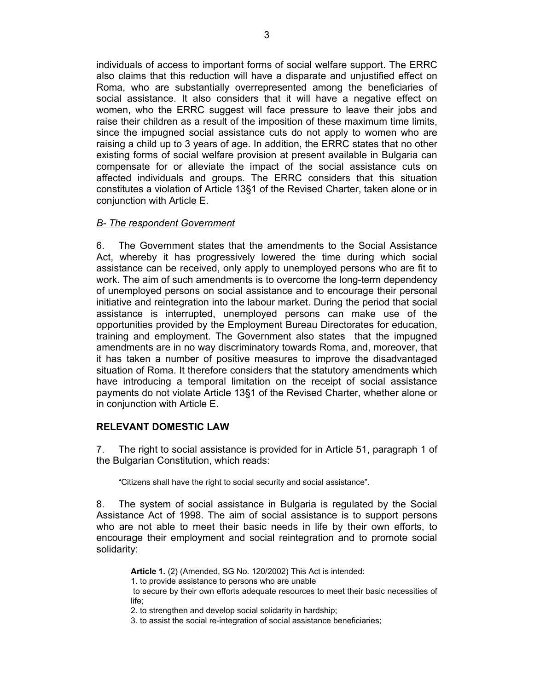individuals of access to important forms of social welfare support. The ERRC also claims that this reduction will have a disparate and unjustified effect on Roma, who are substantially overrepresented among the beneficiaries of social assistance. It also considers that it will have a negative effect on women, who the ERRC suggest will face pressure to leave their jobs and raise their children as a result of the imposition of these maximum time limits, since the impugned social assistance cuts do not apply to women who are raising a child up to 3 years of age. In addition, the ERRC states that no other existing forms of social welfare provision at present available in Bulgaria can compensate for or alleviate the impact of the social assistance cuts on affected individuals and groups. The ERRC considers that this situation constitutes a violation of Article 13§1 of the Revised Charter, taken alone or in conjunction with Article E.

## *B- The respondent Government*

6. The Government states that the amendments to the Social Assistance Act, whereby it has progressively lowered the time during which social assistance can be received, only apply to unemployed persons who are fit to work. The aim of such amendments is to overcome the long-term dependency of unemployed persons on social assistance and to encourage their personal initiative and reintegration into the labour market. During the period that social assistance is interrupted, unemployed persons can make use of the opportunities provided by the Employment Bureau Directorates for education, training and employment. The Government also states that the impugned amendments are in no way discriminatory towards Roma, and, moreover, that it has taken a number of positive measures to improve the disadvantaged situation of Roma. It therefore considers that the statutory amendments which have introducing a temporal limitation on the receipt of social assistance payments do not violate Article 13§1 of the Revised Charter, whether alone or in conjunction with Article E.

## **RELEVANT DOMESTIC LAW**

7. The right to social assistance is provided for in Article 51, paragraph 1 of the Bulgarian Constitution, which reads:

"Citizens shall have the right to social security and social assistance".

8. The system of social assistance in Bulgaria is regulated by the Social Assistance Act of 1998. The aim of social assistance is to support persons who are not able to meet their basic needs in life by their own efforts, to encourage their employment and social reintegration and to promote social solidarity:

**Article 1.** (2) (Amended, SG No. 120/2002) This Act is intended:

1. to provide assistance to persons who are unable

 to secure by their own efforts adequate resources to meet their basic necessities of life;

2. to strengthen and develop social solidarity in hardship;

3. to assist the social re-integration of social assistance beneficiaries;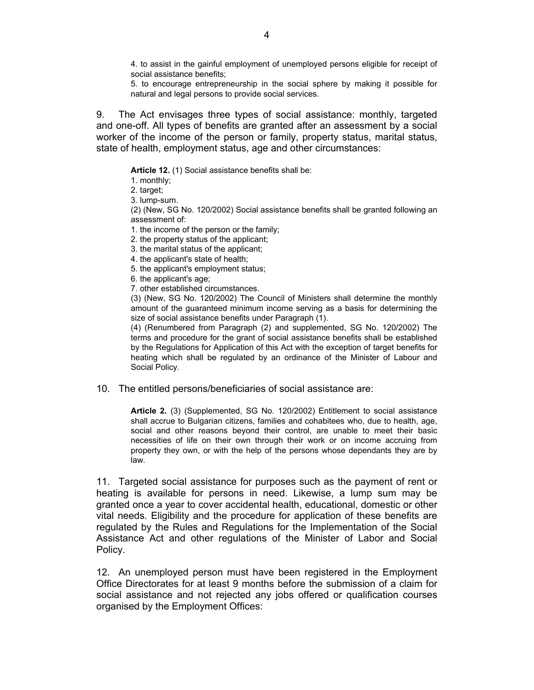4. to assist in the gainful employment of unemployed persons eligible for receipt of social assistance benefits;

5. to encourage entrepreneurship in the social sphere by making it possible for natural and legal persons to provide social services.

9. The Act envisages three types of social assistance: monthly, targeted and one-off. All types of benefits are granted after an assessment by a social worker of the income of the person or family, property status, marital status, state of health, employment status, age and other circumstances:

**Article 12.** (1) Social assistance benefits shall be:

1. monthly;

2. target;

3. lump-sum.

(2) (New, SG No. 120/2002) Social assistance benefits shall be granted following an assessment of:

1. the income of the person or the family;

- 2. the property status of the applicant;
- 3. the marital status of the applicant;
- 4. the applicant's state of health;
- 5. the applicant's employment status;

6. the applicant's age;

7. other established circumstances.

(3) (New, SG No. 120/2002) The Council of Ministers shall determine the monthly amount of the guaranteed minimum income serving as a basis for determining the size of social assistance benefits under Paragraph (1).

(4) (Renumbered from Paragraph (2) and supplemented, SG No. 120/2002) The terms and procedure for the grant of social assistance benefits shall be established by the Regulations for Application of this Act with the exception of target benefits for heating which shall be regulated by an ordinance of the Minister of Labour and Social Policy.

10. The entitled persons/beneficiaries of social assistance are:

**Article 2.** (3) (Supplemented, SG No. 120/2002) Entitlement to social assistance shall accrue to Bulgarian citizens, families and cohabitees who, due to health, age, social and other reasons beyond their control, are unable to meet their basic necessities of life on their own through their work or on income accruing from property they own, or with the help of the persons whose dependants they are by law.

11. Targeted social assistance for purposes such as the payment of rent or heating is available for persons in need. Likewise, a lump sum may be granted once a year to cover accidental health, educational, domestic or other vital needs. Eligibility and the procedure for application of these benefits are regulated by the Rules and Regulations for the Implementation of the Social Assistance Act and other regulations of the Minister of Labor and Social Policy.

12. An unemployed person must have been registered in the Employment Office Directorates for at least 9 months before the submission of a claim for social assistance and not rejected any jobs offered or qualification courses organised by the Employment Offices: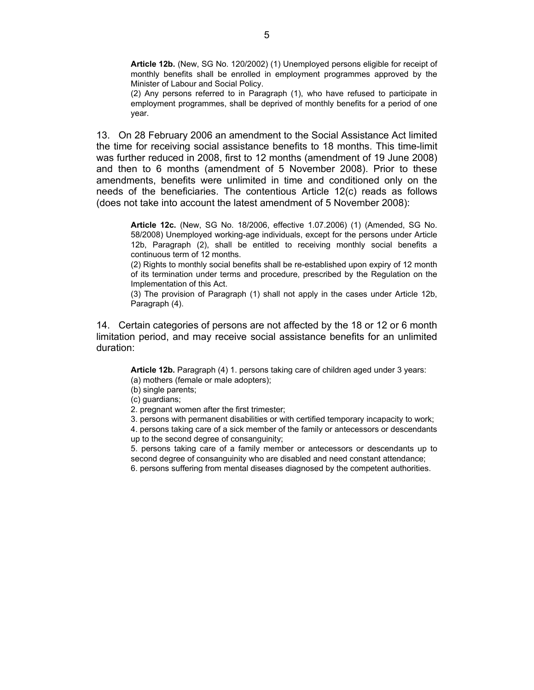**Article 12b.** (New, SG No. 120/2002) (1) Unemployed persons eligible for receipt of monthly benefits shall be enrolled in employment programmes approved by the Minister of Labour and Social Policy.

(2) Any persons referred to in Paragraph (1), who have refused to participate in employment programmes, shall be deprived of monthly benefits for a period of one year.

13. On 28 February 2006 an amendment to the Social Assistance Act limited the time for receiving social assistance benefits to 18 months. This time-limit was further reduced in 2008, first to 12 months (amendment of 19 June 2008) and then to 6 months (amendment of 5 November 2008). Prior to these amendments, benefits were unlimited in time and conditioned only on the needs of the beneficiaries. The contentious Article 12(c) reads as follows (does not take into account the latest amendment of 5 November 2008):

**Article 12c.** (New, SG No. 18/2006, effective 1.07.2006) (1) (Amended, SG No. 58/2008) Unemployed working-age individuals, except for the persons under Article 12b, Paragraph (2), shall be entitled to receiving monthly social benefits a continuous term of 12 months.

(2) Rights to monthly social benefits shall be re-established upon expiry of 12 month of its termination under terms and procedure, prescribed by the Regulation on the Implementation of this Act.

(3) The provision of Paragraph (1) shall not apply in the cases under Article 12b, Paragraph (4).

14. Certain categories of persons are not affected by the 18 or 12 or 6 month limitation period, and may receive social assistance benefits for an unlimited duration:

**Article 12b.** Paragraph (4) 1. persons taking care of children aged under 3 years: (a) mothers (female or male adopters);

(b) single parents;

(c) guardians;

2. pregnant women after the first trimester;

3. persons with permanent disabilities or with certified temporary incapacity to work;

4. persons taking care of a sick member of the family or antecessors or descendants up to the second degree of consanguinity;

5. persons taking care of a family member or antecessors or descendants up to second degree of consanguinity who are disabled and need constant attendance;

6. persons suffering from mental diseases diagnosed by the competent authorities.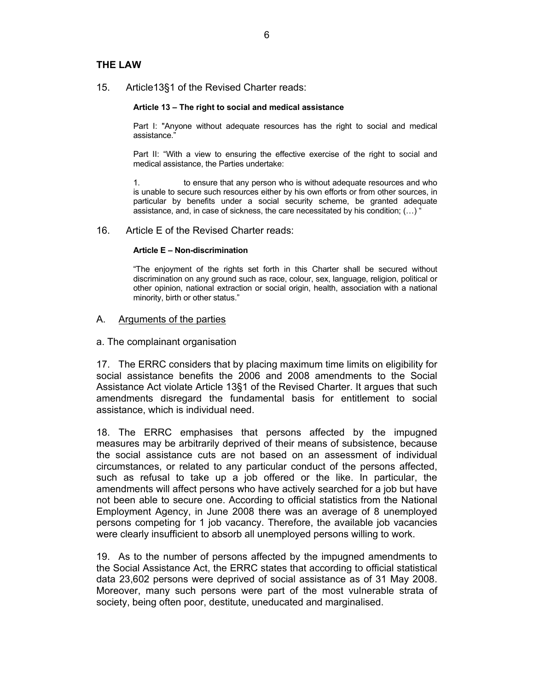### **THE LAW**

15. Article13§1 of the Revised Charter reads:

#### **Article 13 – The right to social and medical assistance**

Part I: "Anyone without adequate resources has the right to social and medical assistance."

Part II: "With a view to ensuring the effective exercise of the right to social and medical assistance, the Parties undertake:

1. to ensure that any person who is without adequate resources and who is unable to secure such resources either by his own efforts or from other sources, in particular by benefits under a social security scheme, be granted adequate assistance, and, in case of sickness, the care necessitated by his condition; (…) "

#### 16. Article E of the Revised Charter reads:

#### **Article E – Non-discrimination**

"The enjoyment of the rights set forth in this Charter shall be secured without discrimination on any ground such as race, colour, sex, language, religion, political or other opinion, national extraction or social origin, health, association with a national minority, birth or other status."

#### A. Arguments of the parties

a. The complainant organisation

17. The ERRC considers that by placing maximum time limits on eligibility for social assistance benefits the 2006 and 2008 amendments to the Social Assistance Act violate Article 13§1 of the Revised Charter. It argues that such amendments disregard the fundamental basis for entitlement to social assistance, which is individual need.

18. The ERRC emphasises that persons affected by the impugned measures may be arbitrarily deprived of their means of subsistence, because the social assistance cuts are not based on an assessment of individual circumstances, or related to any particular conduct of the persons affected, such as refusal to take up a job offered or the like. In particular, the amendments will affect persons who have actively searched for a job but have not been able to secure one. According to official statistics from the National Employment Agency, in June 2008 there was an average of 8 unemployed persons competing for 1 job vacancy. Therefore, the available job vacancies were clearly insufficient to absorb all unemployed persons willing to work.

19. As to the number of persons affected by the impugned amendments to the Social Assistance Act, the ERRC states that according to official statistical data 23,602 persons were deprived of social assistance as of 31 May 2008. Moreover, many such persons were part of the most vulnerable strata of society, being often poor, destitute, uneducated and marginalised.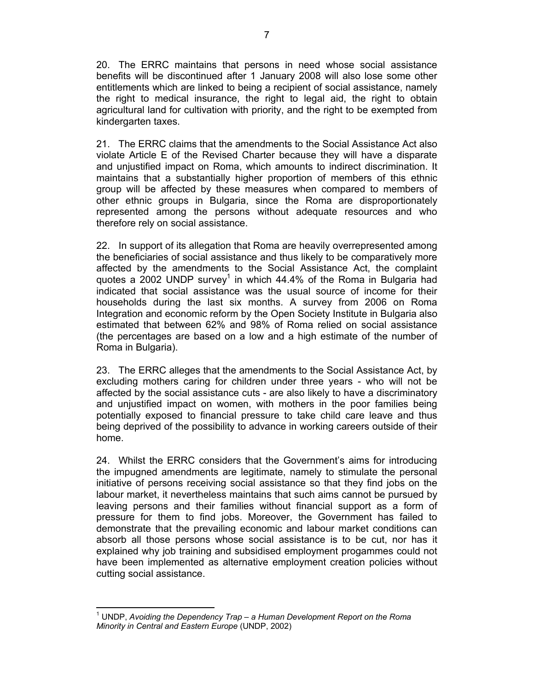20. The ERRC maintains that persons in need whose social assistance benefits will be discontinued after 1 January 2008 will also lose some other entitlements which are linked to being a recipient of social assistance, namely the right to medical insurance, the right to legal aid, the right to obtain agricultural land for cultivation with priority, and the right to be exempted from kindergarten taxes.

21. The ERRC claims that the amendments to the Social Assistance Act also violate Article E of the Revised Charter because they will have a disparate and unjustified impact on Roma, which amounts to indirect discrimination. It maintains that a substantially higher proportion of members of this ethnic group will be affected by these measures when compared to members of other ethnic groups in Bulgaria, since the Roma are disproportionately represented among the persons without adequate resources and who therefore rely on social assistance.

22. In support of its allegation that Roma are heavily overrepresented among the beneficiaries of social assistance and thus likely to be comparatively more affected by the amendments to the Social Assistance Act, the complaint quotes a 2002 UNDP survey<sup>1</sup> in which 44.4% of the Roma in Bulgaria had indicated that social assistance was the usual source of income for their households during the last six months. A survey from 2006 on Roma Integration and economic reform by the Open Society Institute in Bulgaria also estimated that between 62% and 98% of Roma relied on social assistance (the percentages are based on a low and a high estimate of the number of Roma in Bulgaria).

23. The ERRC alleges that the amendments to the Social Assistance Act, by excluding mothers caring for children under three years - who will not be affected by the social assistance cuts - are also likely to have a discriminatory and unjustified impact on women, with mothers in the poor families being potentially exposed to financial pressure to take child care leave and thus being deprived of the possibility to advance in working careers outside of their home.

24. Whilst the ERRC considers that the Government's aims for introducing the impugned amendments are legitimate, namely to stimulate the personal initiative of persons receiving social assistance so that they find jobs on the labour market, it nevertheless maintains that such aims cannot be pursued by leaving persons and their families without financial support as a form of pressure for them to find jobs. Moreover, the Government has failed to demonstrate that the prevailing economic and labour market conditions can absorb all those persons whose social assistance is to be cut, nor has it explained why job training and subsidised employment progammes could not have been implemented as alternative employment creation policies without cutting social assistance.

 $\overline{a}$ <sup>1</sup> UNDP, Avoiding the Dependency Trap – a Human Development Report on the Roma *Minority in Central and Eastern Europe* (UNDP, 2002)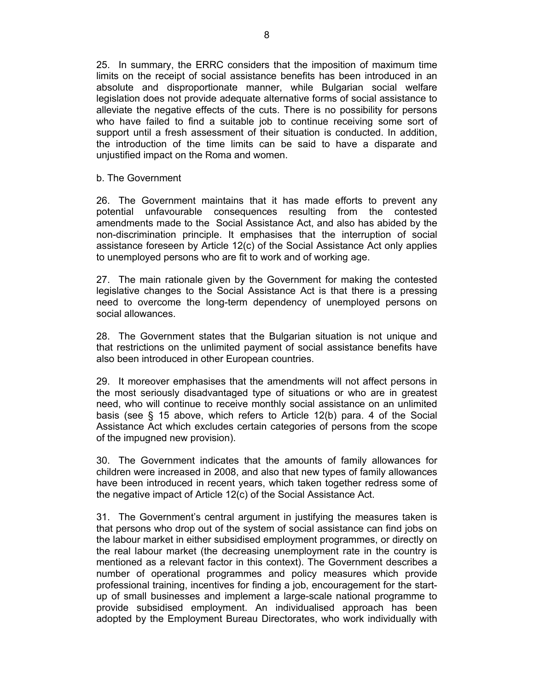25. In summary, the ERRC considers that the imposition of maximum time limits on the receipt of social assistance benefits has been introduced in an absolute and disproportionate manner, while Bulgarian social welfare legislation does not provide adequate alternative forms of social assistance to alleviate the negative effects of the cuts. There is no possibility for persons who have failed to find a suitable job to continue receiving some sort of support until a fresh assessment of their situation is conducted. In addition, the introduction of the time limits can be said to have a disparate and unjustified impact on the Roma and women.

b. The Government

26. The Government maintains that it has made efforts to prevent any potential unfavourable consequences resulting from the contested amendments made to the Social Assistance Act, and also has abided by the non-discrimination principle. It emphasises that the interruption of social assistance foreseen by Article 12(c) of the Social Assistance Act only applies to unemployed persons who are fit to work and of working age.

27. The main rationale given by the Government for making the contested legislative changes to the Social Assistance Act is that there is a pressing need to overcome the long-term dependency of unemployed persons on social allowances.

28. The Government states that the Bulgarian situation is not unique and that restrictions on the unlimited payment of social assistance benefits have also been introduced in other European countries.

29. It moreover emphasises that the amendments will not affect persons in the most seriously disadvantaged type of situations or who are in greatest need, who will continue to receive monthly social assistance on an unlimited basis (see § 15 above, which refers to Article 12(b) para. 4 of the Social Assistance Act which excludes certain categories of persons from the scope of the impugned new provision).

30. The Government indicates that the amounts of family allowances for children were increased in 2008, and also that new types of family allowances have been introduced in recent years, which taken together redress some of the negative impact of Article 12(c) of the Social Assistance Act.

31. The Government's central argument in justifying the measures taken is that persons who drop out of the system of social assistance can find jobs on the labour market in either subsidised employment programmes, or directly on the real labour market (the decreasing unemployment rate in the country is mentioned as a relevant factor in this context). The Government describes a number of operational programmes and policy measures which provide professional training, incentives for finding a job, encouragement for the startup of small businesses and implement a large-scale national programme to provide subsidised employment. An individualised approach has been adopted by the Employment Bureau Directorates, who work individually with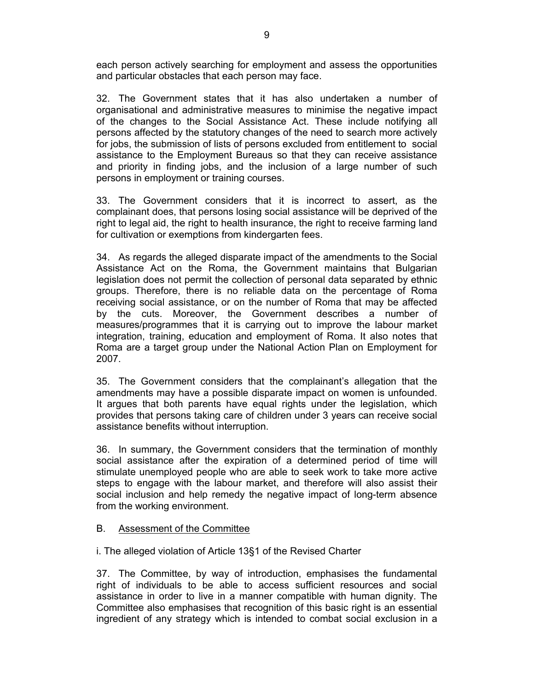each person actively searching for employment and assess the opportunities and particular obstacles that each person may face.

32. The Government states that it has also undertaken a number of organisational and administrative measures to minimise the negative impact of the changes to the Social Assistance Act. These include notifying all persons affected by the statutory changes of the need to search more actively for jobs, the submission of lists of persons excluded from entitlement to social assistance to the Employment Bureaus so that they can receive assistance and priority in finding jobs, and the inclusion of a large number of such persons in employment or training courses.

33. The Government considers that it is incorrect to assert, as the complainant does, that persons losing social assistance will be deprived of the right to legal aid, the right to health insurance, the right to receive farming land for cultivation or exemptions from kindergarten fees.

34. As regards the alleged disparate impact of the amendments to the Social Assistance Act on the Roma, the Government maintains that Bulgarian legislation does not permit the collection of personal data separated by ethnic groups. Therefore, there is no reliable data on the percentage of Roma receiving social assistance, or on the number of Roma that may be affected by the cuts. Moreover, the Government describes a number of measures/programmes that it is carrying out to improve the labour market integration, training, education and employment of Roma. It also notes that Roma are a target group under the National Action Plan on Employment for 2007.

35. The Government considers that the complainant's allegation that the amendments may have a possible disparate impact on women is unfounded. It argues that both parents have equal rights under the legislation, which provides that persons taking care of children under 3 years can receive social assistance benefits without interruption.

36. In summary, the Government considers that the termination of monthly social assistance after the expiration of a determined period of time will stimulate unemployed people who are able to seek work to take more active steps to engage with the labour market, and therefore will also assist their social inclusion and help remedy the negative impact of long-term absence from the working environment.

## B. Assessment of the Committee

i. The alleged violation of Article 13§1 of the Revised Charter

37. The Committee, by way of introduction, emphasises the fundamental right of individuals to be able to access sufficient resources and social assistance in order to live in a manner compatible with human dignity. The Committee also emphasises that recognition of this basic right is an essential ingredient of any strategy which is intended to combat social exclusion in a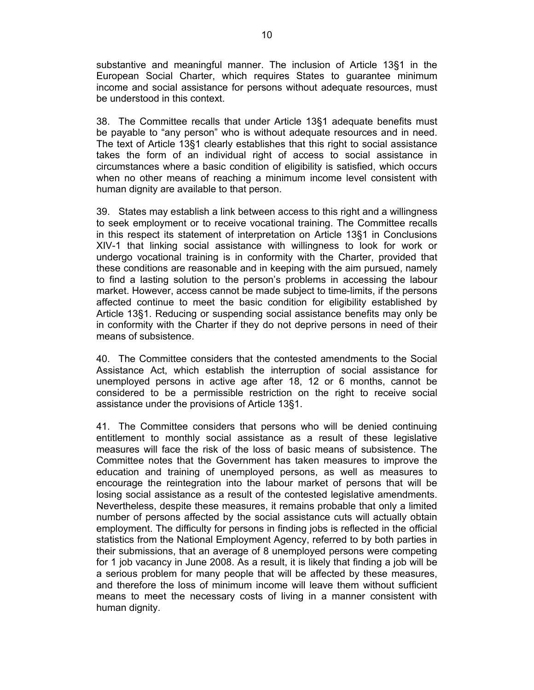substantive and meaningful manner. The inclusion of Article 13§1 in the European Social Charter, which requires States to guarantee minimum income and social assistance for persons without adequate resources, must be understood in this context.

38. The Committee recalls that under Article 13§1 adequate benefits must be payable to "any person" who is without adequate resources and in need. The text of Article 13§1 clearly establishes that this right to social assistance takes the form of an individual right of access to social assistance in circumstances where a basic condition of eligibility is satisfied, which occurs when no other means of reaching a minimum income level consistent with human dignity are available to that person.

39. States may establish a link between access to this right and a willingness to seek employment or to receive vocational training. The Committee recalls in this respect its statement of interpretation on Article 13§1 in Conclusions XIV-1 that linking social assistance with willingness to look for work or undergo vocational training is in conformity with the Charter, provided that these conditions are reasonable and in keeping with the aim pursued, namely to find a lasting solution to the person's problems in accessing the labour market. However, access cannot be made subject to time-limits, if the persons affected continue to meet the basic condition for eligibility established by Article 13§1. Reducing or suspending social assistance benefits may only be in conformity with the Charter if they do not deprive persons in need of their means of subsistence.

40. The Committee considers that the contested amendments to the Social Assistance Act, which establish the interruption of social assistance for unemployed persons in active age after 18, 12 or 6 months, cannot be considered to be a permissible restriction on the right to receive social assistance under the provisions of Article 13§1.

41. The Committee considers that persons who will be denied continuing entitlement to monthly social assistance as a result of these legislative measures will face the risk of the loss of basic means of subsistence. The Committee notes that the Government has taken measures to improve the education and training of unemployed persons, as well as measures to encourage the reintegration into the labour market of persons that will be losing social assistance as a result of the contested legislative amendments. Nevertheless, despite these measures, it remains probable that only a limited number of persons affected by the social assistance cuts will actually obtain employment. The difficulty for persons in finding jobs is reflected in the official statistics from the National Employment Agency, referred to by both parties in their submissions, that an average of 8 unemployed persons were competing for 1 job vacancy in June 2008. As a result, it is likely that finding a job will be a serious problem for many people that will be affected by these measures, and therefore the loss of minimum income will leave them without sufficient means to meet the necessary costs of living in a manner consistent with human dignity.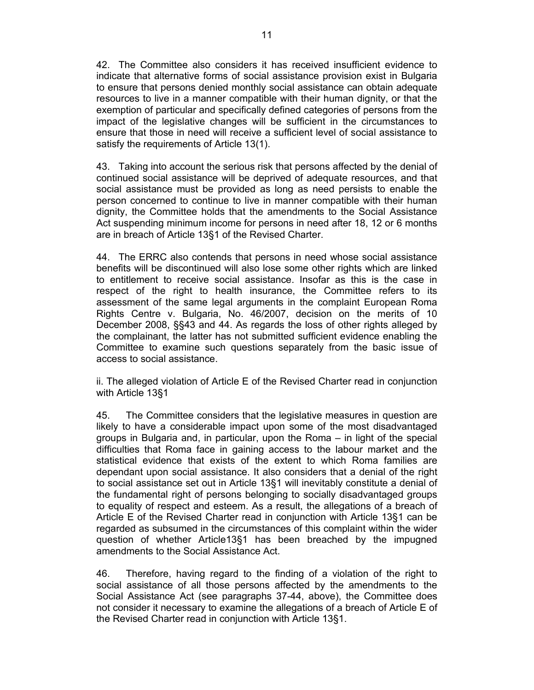42. The Committee also considers it has received insufficient evidence to indicate that alternative forms of social assistance provision exist in Bulgaria to ensure that persons denied monthly social assistance can obtain adequate resources to live in a manner compatible with their human dignity, or that the exemption of particular and specifically defined categories of persons from the impact of the legislative changes will be sufficient in the circumstances to ensure that those in need will receive a sufficient level of social assistance to satisfy the requirements of Article 13(1).

43. Taking into account the serious risk that persons affected by the denial of continued social assistance will be deprived of adequate resources, and that social assistance must be provided as long as need persists to enable the person concerned to continue to live in manner compatible with their human dignity, the Committee holds that the amendments to the Social Assistance Act suspending minimum income for persons in need after 18, 12 or 6 months are in breach of Article 13§1 of the Revised Charter.

44. The ERRC also contends that persons in need whose social assistance benefits will be discontinued will also lose some other rights which are linked to entitlement to receive social assistance. Insofar as this is the case in respect of the right to health insurance, the Committee refers to its assessment of the same legal arguments in the complaint European Roma Rights Centre v. Bulgaria, No. 46/2007, decision on the merits of 10 December 2008, §§43 and 44. As regards the loss of other rights alleged by the complainant, the latter has not submitted sufficient evidence enabling the Committee to examine such questions separately from the basic issue of access to social assistance.

ii. The alleged violation of Article E of the Revised Charter read in conjunction with Article 13§1

45. The Committee considers that the legislative measures in question are likely to have a considerable impact upon some of the most disadvantaged groups in Bulgaria and, in particular, upon the Roma – in light of the special difficulties that Roma face in gaining access to the labour market and the statistical evidence that exists of the extent to which Roma families are dependant upon social assistance. It also considers that a denial of the right to social assistance set out in Article 13§1 will inevitably constitute a denial of the fundamental right of persons belonging to socially disadvantaged groups to equality of respect and esteem. As a result, the allegations of a breach of Article E of the Revised Charter read in conjunction with Article 13§1 can be regarded as subsumed in the circumstances of this complaint within the wider question of whether Article13§1 has been breached by the impugned amendments to the Social Assistance Act.

46. Therefore, having regard to the finding of a violation of the right to social assistance of all those persons affected by the amendments to the Social Assistance Act (see paragraphs 37-44, above), the Committee does not consider it necessary to examine the allegations of a breach of Article E of the Revised Charter read in conjunction with Article 13§1.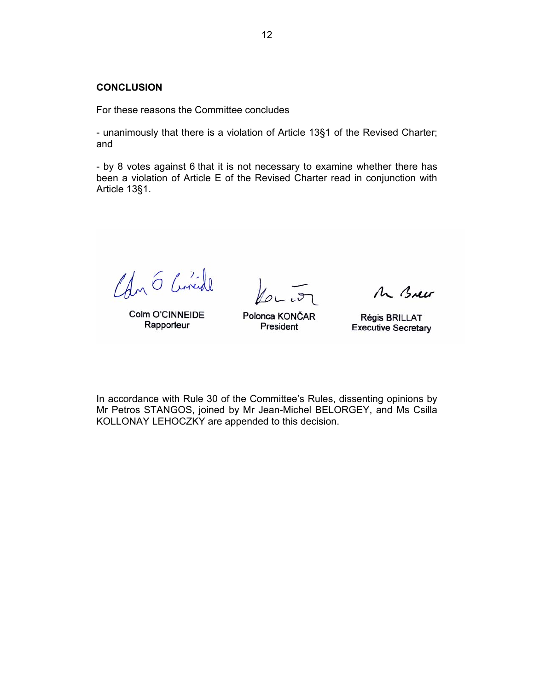### **CONCLUSION**

For these reasons the Committee concludes

- unanimously that there is a violation of Article 13§1 of the Revised Charter; and

- by 8 votes against 6 that it is not necessary to examine whether there has been a violation of Article E of the Revised Charter read in conjunction with Article 13§1.

Can 6 Cinede

Colm O'CINNEIDE Rapporteur

Polonca KONČAR President

Mr Brew

Régis BRILLAT **Executive Secretary** 

In accordance with Rule 30 of the Committee's Rules, dissenting opinions by Mr Petros STANGOS, joined by Mr Jean-Michel BELORGEY, and Ms Csilla KOLLONAY LEHOCZKY are appended to this decision.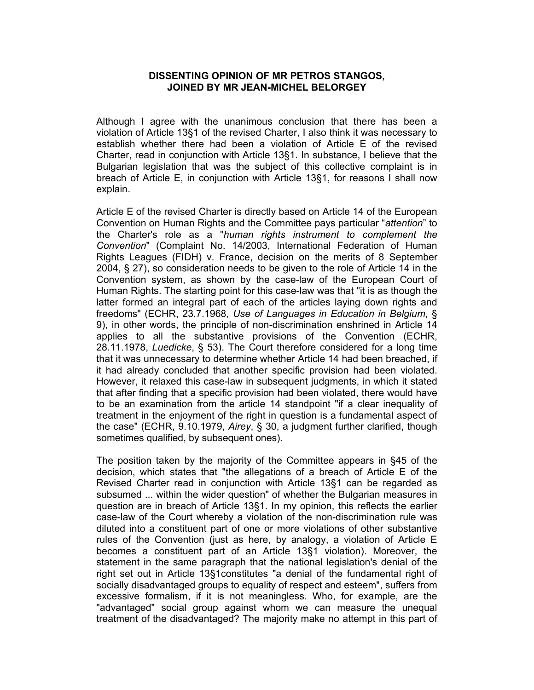### **DISSENTING OPINION OF MR PETROS STANGOS, JOINED BY MR JEAN-MICHEL BELORGEY**

Although I agree with the unanimous conclusion that there has been a violation of Article 13§1 of the revised Charter, I also think it was necessary to establish whether there had been a violation of Article E of the revised Charter, read in conjunction with Article 13§1. In substance, I believe that the Bulgarian legislation that was the subject of this collective complaint is in breach of Article E, in conjunction with Article 13§1, for reasons I shall now explain.

Article E of the revised Charter is directly based on Article 14 of the European Convention on Human Rights and the Committee pays particular "*attention*" to the Charter's role as a "*human rights instrument to complement the Convention*" (Complaint No. 14/2003, International Federation of Human Rights Leagues (FIDH) v. France, decision on the merits of 8 September 2004, § 27), so consideration needs to be given to the role of Article 14 in the Convention system, as shown by the case-law of the European Court of Human Rights. The starting point for this case-law was that "it is as though the latter formed an integral part of each of the articles laying down rights and freedoms" (ECHR, 23.7.1968, *Use of Languages in Education in Belgium*, § 9), in other words, the principle of non-discrimination enshrined in Article 14 applies to all the substantive provisions of the Convention (ECHR, 28.11.1978, *Luedicke*, § 53). The Court therefore considered for a long time that it was unnecessary to determine whether Article 14 had been breached, if it had already concluded that another specific provision had been violated. However, it relaxed this case-law in subsequent judgments, in which it stated that after finding that a specific provision had been violated, there would have to be an examination from the article 14 standpoint "if a clear inequality of treatment in the enjoyment of the right in question is a fundamental aspect of the case" (ECHR, 9.10.1979, *Airey*, § 30, a judgment further clarified, though sometimes qualified, by subsequent ones).

The position taken by the majority of the Committee appears in §45 of the decision, which states that "the allegations of a breach of Article E of the Revised Charter read in conjunction with Article 13§1 can be regarded as subsumed ... within the wider question" of whether the Bulgarian measures in question are in breach of Article 13§1. In my opinion, this reflects the earlier case-law of the Court whereby a violation of the non-discrimination rule was diluted into a constituent part of one or more violations of other substantive rules of the Convention (just as here, by analogy, a violation of Article E becomes a constituent part of an Article 13§1 violation). Moreover, the statement in the same paragraph that the national legislation's denial of the right set out in Article 13§1constitutes "a denial of the fundamental right of socially disadvantaged groups to equality of respect and esteem", suffers from excessive formalism, if it is not meaningless. Who, for example, are the "advantaged" social group against whom we can measure the unequal treatment of the disadvantaged? The majority make no attempt in this part of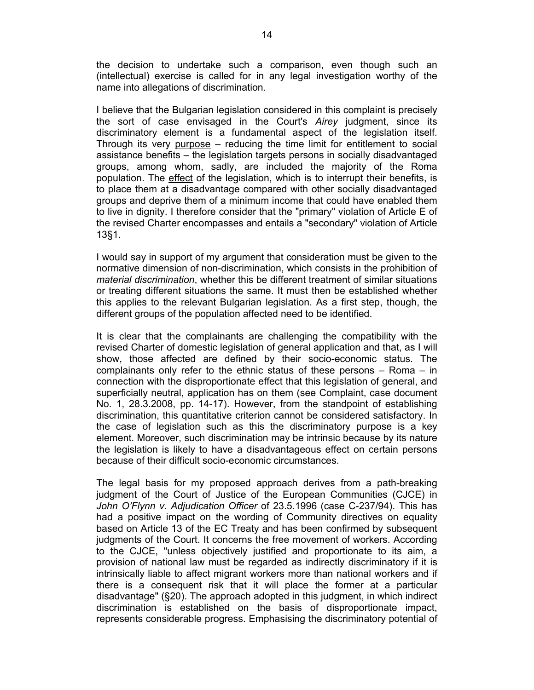the decision to undertake such a comparison, even though such an (intellectual) exercise is called for in any legal investigation worthy of the name into allegations of discrimination.

I believe that the Bulgarian legislation considered in this complaint is precisely the sort of case envisaged in the Court's *Airey* judgment, since its discriminatory element is a fundamental aspect of the legislation itself. Through its very purpose – reducing the time limit for entitlement to social assistance benefits – the legislation targets persons in socially disadvantaged groups, among whom, sadly, are included the majority of the Roma population. The effect of the legislation, which is to interrupt their benefits, is to place them at a disadvantage compared with other socially disadvantaged groups and deprive them of a minimum income that could have enabled them to live in dignity. I therefore consider that the "primary" violation of Article E of the revised Charter encompasses and entails a "secondary" violation of Article 13§1.

I would say in support of my argument that consideration must be given to the normative dimension of non-discrimination, which consists in the prohibition of *material discrimination*, whether this be different treatment of similar situations or treating different situations the same. It must then be established whether this applies to the relevant Bulgarian legislation. As a first step, though, the different groups of the population affected need to be identified.

It is clear that the complainants are challenging the compatibility with the revised Charter of domestic legislation of general application and that, as I will show, those affected are defined by their socio-economic status. The complainants only refer to the ethnic status of these persons – Roma – in connection with the disproportionate effect that this legislation of general, and superficially neutral, application has on them (see Complaint, case document No. 1, 28.3.2008, pp. 14-17). However, from the standpoint of establishing discrimination, this quantitative criterion cannot be considered satisfactory. In the case of legislation such as this the discriminatory purpose is a key element. Moreover, such discrimination may be intrinsic because by its nature the legislation is likely to have a disadvantageous effect on certain persons because of their difficult socio-economic circumstances.

The legal basis for my proposed approach derives from a path-breaking judgment of the Court of Justice of the European Communities (CJCE) in *John O'Flynn v. Adjudication Officer* of 23.5.1996 (case C-237/94). This has had a positive impact on the wording of Community directives on equality based on Article 13 of the EC Treaty and has been confirmed by subsequent judgments of the Court. It concerns the free movement of workers. According to the CJCE, "unless objectively justified and proportionate to its aim, a provision of national law must be regarded as indirectly discriminatory if it is intrinsically liable to affect migrant workers more than national workers and if there is a consequent risk that it will place the former at a particular disadvantage" (§20). The approach adopted in this judgment, in which indirect discrimination is established on the basis of disproportionate impact, represents considerable progress. Emphasising the discriminatory potential of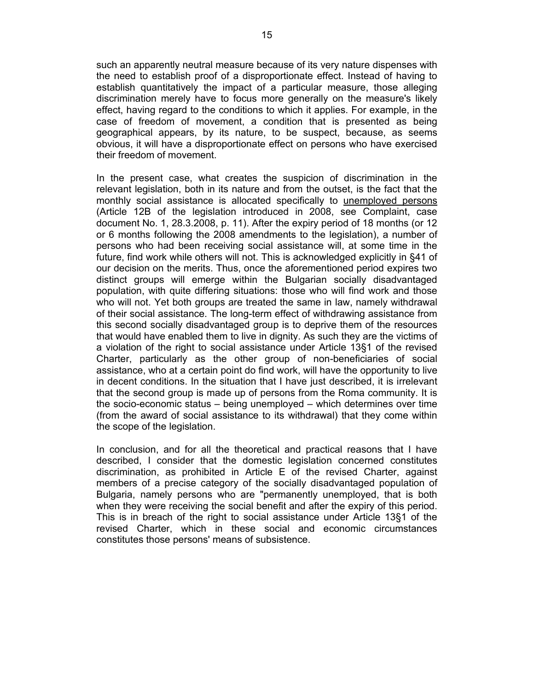such an apparently neutral measure because of its very nature dispenses with the need to establish proof of a disproportionate effect. Instead of having to establish quantitatively the impact of a particular measure, those alleging discrimination merely have to focus more generally on the measure's likely effect, having regard to the conditions to which it applies. For example, in the case of freedom of movement, a condition that is presented as being geographical appears, by its nature, to be suspect, because, as seems obvious, it will have a disproportionate effect on persons who have exercised their freedom of movement.

In the present case, what creates the suspicion of discrimination in the relevant legislation, both in its nature and from the outset, is the fact that the monthly social assistance is allocated specifically to unemployed persons (Article 12B of the legislation introduced in 2008, see Complaint, case document No. 1, 28.3.2008, p. 11). After the expiry period of 18 months (or 12 or 6 months following the 2008 amendments to the legislation), a number of persons who had been receiving social assistance will, at some time in the future, find work while others will not. This is acknowledged explicitly in §41 of our decision on the merits. Thus, once the aforementioned period expires two distinct groups will emerge within the Bulgarian socially disadvantaged population, with quite differing situations: those who will find work and those who will not. Yet both groups are treated the same in law, namely withdrawal of their social assistance. The long-term effect of withdrawing assistance from this second socially disadvantaged group is to deprive them of the resources that would have enabled them to live in dignity. As such they are the victims of a violation of the right to social assistance under Article 13§1 of the revised Charter, particularly as the other group of non-beneficiaries of social assistance, who at a certain point do find work, will have the opportunity to live in decent conditions. In the situation that I have just described, it is irrelevant that the second group is made up of persons from the Roma community. It is the socio-economic status – being unemployed – which determines over time (from the award of social assistance to its withdrawal) that they come within the scope of the legislation.

In conclusion, and for all the theoretical and practical reasons that I have described, I consider that the domestic legislation concerned constitutes discrimination, as prohibited in Article E of the revised Charter, against members of a precise category of the socially disadvantaged population of Bulgaria, namely persons who are "permanently unemployed, that is both when they were receiving the social benefit and after the expiry of this period. This is in breach of the right to social assistance under Article 13§1 of the revised Charter, which in these social and economic circumstances constitutes those persons' means of subsistence.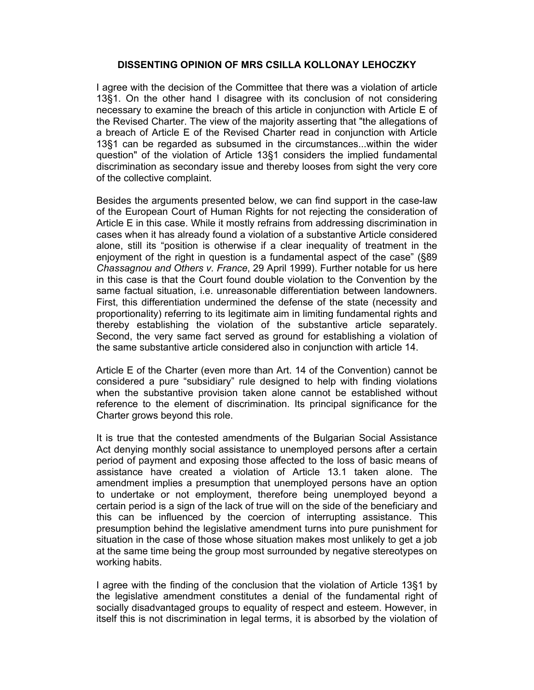## **DISSENTING OPINION OF MRS CSILLA KOLLONAY LEHOCZKY**

I agree with the decision of the Committee that there was a violation of article 13§1. On the other hand I disagree with its conclusion of not considering necessary to examine the breach of this article in conjunction with Article E of the Revised Charter. The view of the majority asserting that "the allegations of a breach of Article E of the Revised Charter read in conjunction with Article 13§1 can be regarded as subsumed in the circumstances...within the wider question" of the violation of Article 13§1 considers the implied fundamental discrimination as secondary issue and thereby looses from sight the very core of the collective complaint.

Besides the arguments presented below, we can find support in the case-law of the European Court of Human Rights for not rejecting the consideration of Article E in this case. While it mostly refrains from addressing discrimination in cases when it has already found a violation of a substantive Article considered alone, still its "position is otherwise if a clear inequality of treatment in the enjoyment of the right in question is a fundamental aspect of the case" (§89 *Chassagnou and Others v. France*, 29 April 1999). Further notable for us here in this case is that the Court found double violation to the Convention by the same factual situation, i.e. unreasonable differentiation between landowners. First, this differentiation undermined the defense of the state (necessity and proportionality) referring to its legitimate aim in limiting fundamental rights and thereby establishing the violation of the substantive article separately. Second, the very same fact served as ground for establishing a violation of the same substantive article considered also in conjunction with article 14.

Article E of the Charter (even more than Art. 14 of the Convention) cannot be considered a pure "subsidiary" rule designed to help with finding violations when the substantive provision taken alone cannot be established without reference to the element of discrimination. Its principal significance for the Charter grows beyond this role.

It is true that the contested amendments of the Bulgarian Social Assistance Act denying monthly social assistance to unemployed persons after a certain period of payment and exposing those affected to the loss of basic means of assistance have created a violation of Article 13.1 taken alone. The amendment implies a presumption that unemployed persons have an option to undertake or not employment, therefore being unemployed beyond a certain period is a sign of the lack of true will on the side of the beneficiary and this can be influenced by the coercion of interrupting assistance. This presumption behind the legislative amendment turns into pure punishment for situation in the case of those whose situation makes most unlikely to get a job at the same time being the group most surrounded by negative stereotypes on working habits.

I agree with the finding of the conclusion that the violation of Article 13§1 by the legislative amendment constitutes a denial of the fundamental right of socially disadvantaged groups to equality of respect and esteem. However, in itself this is not discrimination in legal terms, it is absorbed by the violation of